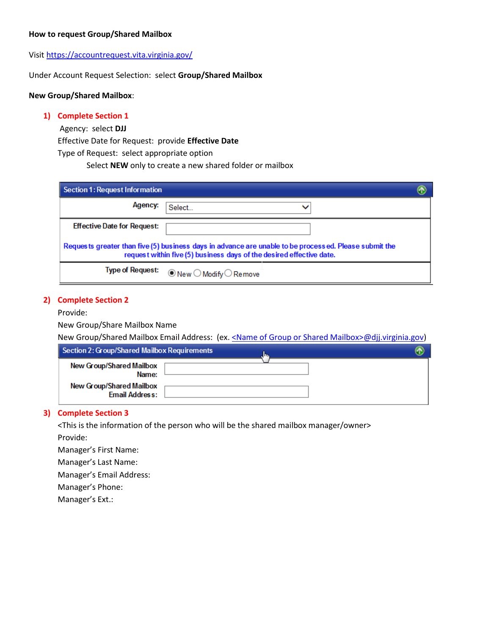### **How to request Group/Shared Mailbox**

Visit<https://accountrequest.vita.virginia.gov/>

Under Account Request Selection: select **Group/Shared Mailbox**

#### **New Group/Shared Mailbox**:

#### **1) Complete Section 1**

Agency: select **DJJ**

Effective Date for Request: provide **Effective Date**

Type of Request: select appropriate option

Select **NEW** only to create a new shared folder or mailbox

| Section 1: Request Information                                                                                                                                                |                                                        |  |
|-------------------------------------------------------------------------------------------------------------------------------------------------------------------------------|--------------------------------------------------------|--|
| Agency:                                                                                                                                                                       | Select                                                 |  |
| <b>Effective Date for Request:</b>                                                                                                                                            |                                                        |  |
| Requests greater than five (5) business days in advance are unable to be processed. Please submit the<br>request within five (5) business days of the desired effective date. |                                                        |  |
| <b>Type of Request:</b>                                                                                                                                                       | $\circledcirc$ New $\bigcirc$ Modify $\bigcirc$ Remove |  |

### **2) Complete Section 2**

#### Provide:

New Group/Share Mailbox Name

New Group/Shared Mailbox Email Address: (ex. < Name of Group or Shared Mailbox>@djj.virginia.gov)

| Section 2: Group/Shared Mailbox Requirements      | llin. |  |
|---------------------------------------------------|-------|--|
| New Group/Shared Mailbox<br>Name:                 |       |  |
| New Group/Shared Mailbox<br><b>Email Address:</b> |       |  |

# **3) Complete Section 3**

<This is the information of the person who will be the shared mailbox manager/owner> Provide:

Manager's First Name:

Manager's Last Name:

Manager's Email Address:

Manager's Phone:

Manager's Ext.: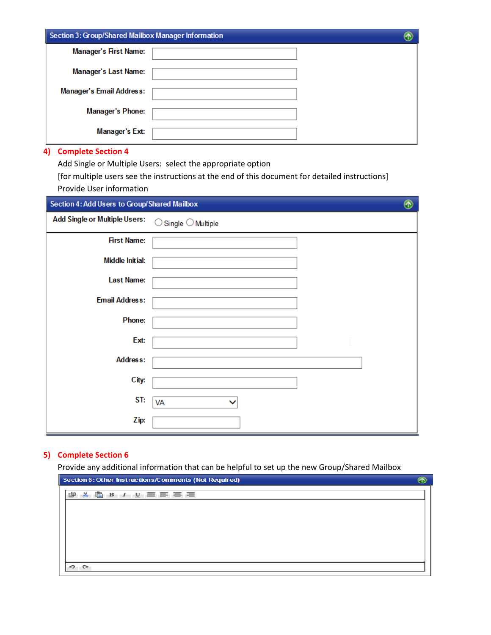| Section 3: Group/Shared Mailbox Manager Information |  |
|-----------------------------------------------------|--|
| <b>Manager's First Name:</b>                        |  |
| <b>Manager's Last Name:</b>                         |  |
| <b>Manager's Email Address:</b>                     |  |
| <b>Manager's Phone:</b>                             |  |
| <b>Manager's Ext:</b>                               |  |

Add Single or Multiple Users: select the appropriate option

[for multiple users see the instructions at the end of this document for detailed instructions] Provide User information

| Section 4: Add Users to Group/Shared Mailbox |                                             | ⊛ |
|----------------------------------------------|---------------------------------------------|---|
| <b>Add Single or Multiple Users:</b>         | $\mathsf{Single}\bigcirc \mathsf{Multiple}$ |   |
| <b>First Name:</b>                           |                                             |   |
| <b>Middle Initial:</b>                       |                                             |   |
| <b>Last Name:</b>                            |                                             |   |
| <b>Email Address:</b>                        |                                             |   |
| Phone:                                       |                                             |   |
| Ext:                                         |                                             |   |
| <b>Address:</b>                              |                                             |   |
| City:                                        |                                             |   |
| ST:                                          | VA                                          |   |
| Zip:                                         |                                             |   |

# **5) Complete Section 6**

Provide any additional information that can be helpful to set up the new Group/Shared Mailbox

| Section 6: Other Instructions/Comments (Not Required)                                    |  |
|------------------------------------------------------------------------------------------|--|
| $\lambda$ $\mathbb{C}$ $\beta$ $I$ $\mathbb{U}$ $\equiv$ $\equiv$ $\equiv$ $\equiv$<br>喞 |  |
|                                                                                          |  |
|                                                                                          |  |
|                                                                                          |  |
|                                                                                          |  |
|                                                                                          |  |
|                                                                                          |  |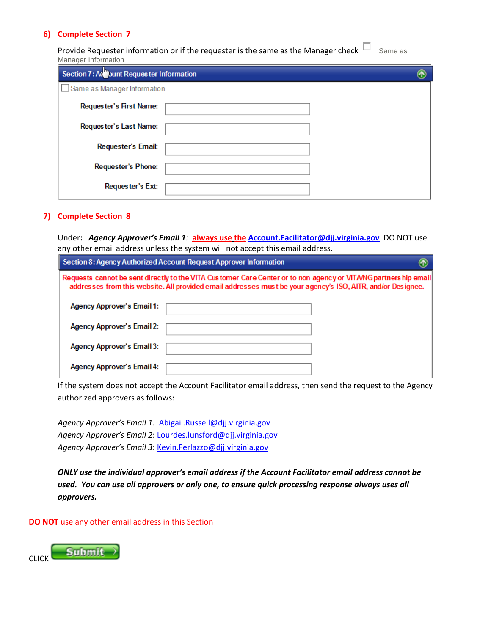Provide Requester information or if the requester is the same as the Manager check  $\square$  Same as Manager Information

| Section 7: A <b>D</b> unt Requester Information |  |
|-------------------------------------------------|--|
| Same as Manager Information                     |  |
| Requester's First Name:                         |  |
| Requester's Last Name:                          |  |
| <b>Requester's Email:</b>                       |  |
| <b>Requester's Phone:</b>                       |  |
| Requester's Ext:                                |  |

# **7) Complete Section 8**

Under**:** *Agency Approver's Email 1:* **always use the [Account.Facilitator@djj.virginia.gov](mailto:Account.Facilitator@djj.virginia.gov)** DO NOT use any other email address unless the system will not accept this email address.

| Section 8: Agency Authorized Account Request Approver Information                                                                                                                                                              |  |  |  |
|--------------------------------------------------------------------------------------------------------------------------------------------------------------------------------------------------------------------------------|--|--|--|
| Requests cannot be sent directly to the VITA Customer Care Center or to non-agency or VITANG partners hip email<br>addresses from this website. All provided email addresses must be your agency's ISO, AITR, and/or Designee. |  |  |  |
| <b>Agency Approver's Email 1:</b>                                                                                                                                                                                              |  |  |  |
| <b>Agency Approver's Email 2:</b>                                                                                                                                                                                              |  |  |  |
| <b>Agency Approver's Email 3:</b>                                                                                                                                                                                              |  |  |  |
| <b>Agency Approver's Email 4:</b>                                                                                                                                                                                              |  |  |  |

If the system does not accept the Account Facilitator email address, then send the request to the Agency authorized approvers as follows:

*Agency Approver's Email 1:* [Abigail.Russell@djj.virginia.gov](mailto:Abigail.Russell@djj.virginia.gov) *Agency Approver's Email 2*[: Lourdes.lunsford@djj.virginia.gov](mailto:Lourdes.lunsford@djj.virginia.gov) *Agency Approver's Email 3*[: Kevin.Ferlazzo@djj.virginia.gov](mailto:Kevin.Ferlazzo@djj.virginia.gov)

*ONLY use the individual approver's email address if the Account Facilitator email address cannot be used. You can use all approvers or only one, to ensure quick processing response always uses all approvers.*

**DO NOT** use any other email address in this Section

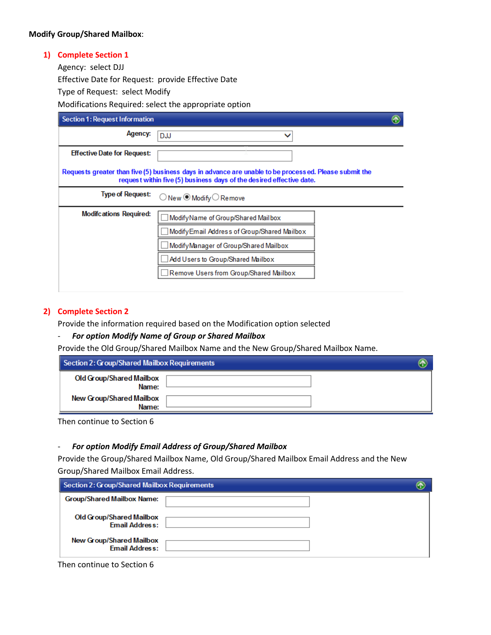## **Modify Group/Shared Mailbox**:

# **1) Complete Section 1**

Agency: select DJJ

Effective Date for Request: provide Effective Date

Type of Request: select Modify

Modifications Required: select the appropriate option

| Section 1: Request Information                                                                                                                                                |                                             |  |  |
|-------------------------------------------------------------------------------------------------------------------------------------------------------------------------------|---------------------------------------------|--|--|
| Agency:                                                                                                                                                                       | <b>DJJ</b>                                  |  |  |
| <b>Effective Date for Request:</b>                                                                                                                                            |                                             |  |  |
| Requests greater than five (5) business days in advance are unable to be processed. Please submit the<br>request within five (5) business days of the desired effective date. |                                             |  |  |
| <b>Type of Request:</b>                                                                                                                                                       | ○ New ● Modify ○ Remove                     |  |  |
| <b>Modifcations Required:</b>                                                                                                                                                 | ModifyName of Group/Shared Mailbox          |  |  |
|                                                                                                                                                                               | ModifyEmail Address of Group/Shared Mailbox |  |  |
|                                                                                                                                                                               | Modify Manager of Group/Shared Mailbox      |  |  |
|                                                                                                                                                                               | Add Users to Group/Shared Mailbox           |  |  |
|                                                                                                                                                                               | Remove Users from Group/Shared Mailbox      |  |  |
|                                                                                                                                                                               |                                             |  |  |

# **2) Complete Section 2**

Provide the information required based on the Modification option selected

### - *For option Modify Name of Group or Shared Mailbox*

Provide the Old Group/Shared Mailbox Name and the New Group/Shared Mailbox Name.

| Section 2: Group/Shared Mailbox Requirements |  |
|----------------------------------------------|--|
| Old Group/Shared Mailbox<br>Name:            |  |
| New Group/Shared Mailbox<br>Name:            |  |

Then continue to Section 6

### - *For option Modify Email Address of Group/Shared Mailbox*

Provide the Group/Shared Mailbox Name, Old Group/Shared Mailbox Email Address and the New Group/Shared Mailbox Email Address.

| Section 2: Group/Shared Mailbox Requirements      |  |
|---------------------------------------------------|--|
| <b>Group/Shared Mailbox Name:</b>                 |  |
| Old Group/Shared Mailbox<br><b>Email Address:</b> |  |
| New Group/Shared Mailbox<br><b>Email Address:</b> |  |

Then continue to Section 6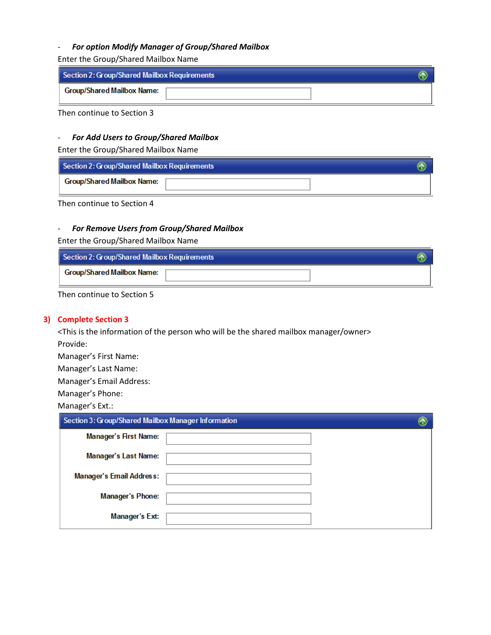# - *For option Modify Manager of Group/Shared Mailbox*

Enter the Group/Shared Mailbox Name

| Section 2: Group/Shared Mailbox Requirements |  |
|----------------------------------------------|--|
| Group/Shared Mailbox Name:                   |  |

Then continue to Section 3

# - *For Add Users to Group/Shared Mailbox*

Enter the Group/Shared Mailbox Name

| Section 2: Group/Shared Mailbox Requirements |  |
|----------------------------------------------|--|
| <b>Group/Shared Mailbox Name:</b>            |  |

Then continue to Section 4

# - *For Remove Users from Group/Shared Mailbox*

Enter the Group/Shared Mailbox Name

| Section 2: Group/Shared Mailbox Requirements |  |
|----------------------------------------------|--|
| <b>Group/Shared Mailbox Name:</b>            |  |

Then continue to Section 5

# **3) Complete Section 3**

<This is the information of the person who will be the shared mailbox manager/owner> Provide:

Manager's First Name:

Manager's Last Name:

Manager's Email Address:

Manager's Phone:

Manager's Ext.:

| Section 3: Group/Shared Mailbox Manager Information |  |
|-----------------------------------------------------|--|
| <b>Manager's First Name:</b>                        |  |
| <b>Manager's Last Name:</b>                         |  |
| <b>Manager's Email Address:</b>                     |  |
| <b>Manager's Phone:</b>                             |  |
| <b>Manager's Ext:</b>                               |  |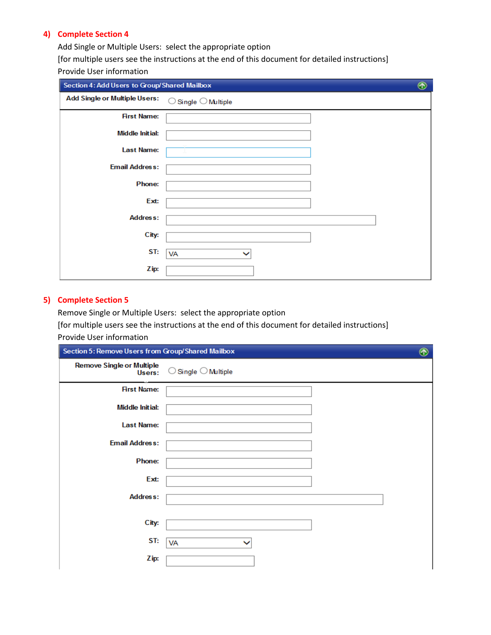Add Single or Multiple Users: select the appropriate option

[for multiple users see the instructions at the end of this document for detailed instructions] Provide User information

| Section 4: Add Users to Group/Shared Mailbox |                            | $^\circledR$ |
|----------------------------------------------|----------------------------|--------------|
| <b>Add Single or Multiple Users:</b>         | Single $\bigcirc$ Multiple |              |
| <b>First Name:</b>                           |                            |              |
| <b>Middle Initial:</b>                       |                            |              |
| <b>Last Name:</b>                            |                            |              |
| <b>Email Address:</b>                        |                            |              |
| Phone:                                       |                            |              |
| Ext:                                         |                            |              |
| <b>Address:</b>                              |                            |              |
| City:                                        |                            |              |
| ST:                                          | VA                         |              |
| Zip:                                         |                            |              |

# **5) Complete Section 5**

Remove Single or Multiple Users: select the appropriate option [for multiple users see the instructions at the end of this document for detailed instructions] Provide User information

| Section 5: Remove Users from Group/Shared Mailbox |                                       |  |
|---------------------------------------------------|---------------------------------------|--|
| <b>Remove Single or Multiple</b><br>Users:        | $\bigcirc$ Single $\bigcirc$ Multiple |  |
| <b>First Name:</b>                                |                                       |  |
| <b>Middle Initial:</b>                            |                                       |  |
| <b>Last Name:</b>                                 |                                       |  |
| <b>Email Address:</b>                             |                                       |  |
| Phone:                                            |                                       |  |
| Ext:                                              |                                       |  |
| <b>Address:</b>                                   |                                       |  |
|                                                   |                                       |  |
| City:                                             |                                       |  |
| ST:                                               | VA                                    |  |
| Zip:                                              |                                       |  |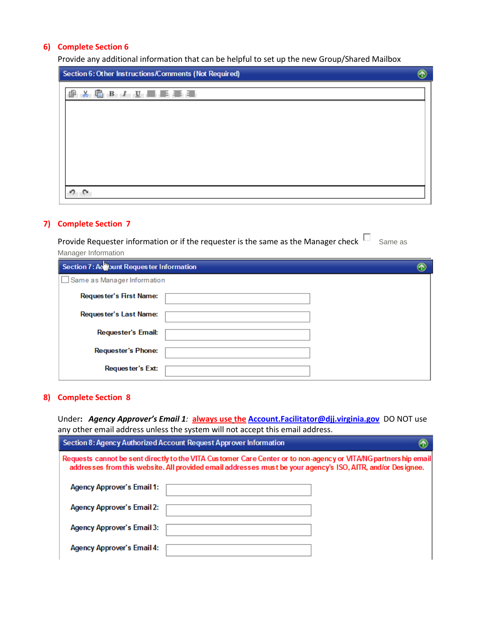Provide any additional information that can be helpful to set up the new Group/Shared Mailbox

| Section 6: Other Instructions/Comments (Not Required) |  |  |
|-------------------------------------------------------|--|--|
| 6BL JB 昌昌昌昌<br>X.<br>喞                                |  |  |
|                                                       |  |  |
|                                                       |  |  |
|                                                       |  |  |
|                                                       |  |  |
| o.,                                                   |  |  |
|                                                       |  |  |

# **7) Complete Section 7**

| Provide Requester information or if the requester is the same as the Manager check | Same as |
|------------------------------------------------------------------------------------|---------|
| Manager Information                                                                |         |
| Section 7: A Wount Requester Information                                           |         |
| Same as Manager Information                                                        |         |
| Requester's First Name:                                                            |         |

| Requester's Last Name:    |  |
|---------------------------|--|
| <b>Requester's Email:</b> |  |
| <b>Requester's Phone:</b> |  |
| Requester's Ext:          |  |

# **8) Complete Section 8**

Under**:** *Agency Approver's Email 1:* **always use the [Account.Facilitator@djj.virginia.gov](mailto:Account.Facilitator@djj.virginia.gov)** DO NOT use any other email address unless the system will not accept this email address.

|                                                                                                                                                                                                                                | Section 8: Agency Authorized Account Request Approver Information |  |  |  |
|--------------------------------------------------------------------------------------------------------------------------------------------------------------------------------------------------------------------------------|-------------------------------------------------------------------|--|--|--|
| Requests cannot be sent directly to the VITA Customer Care Center or to non-agency or VITANG partners hip email<br>addresses from this website. All provided email addresses must be your agency's ISO, AITR, and/or Designee. |                                                                   |  |  |  |
| <b>Agency Approver's Email 1:</b>                                                                                                                                                                                              |                                                                   |  |  |  |
| <b>Agency Approver's Email 2:</b>                                                                                                                                                                                              |                                                                   |  |  |  |
| <b>Agency Approver's Email 3:</b>                                                                                                                                                                                              |                                                                   |  |  |  |
| <b>Agency Approver's Email 4:</b>                                                                                                                                                                                              |                                                                   |  |  |  |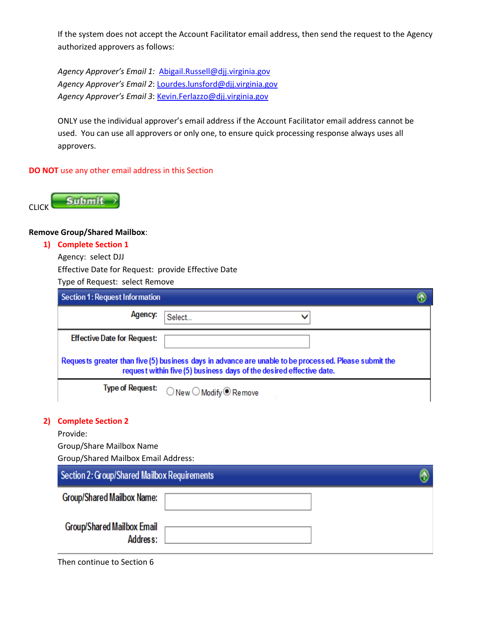If the system does not accept the Account Facilitator email address, then send the request to the Agency authorized approvers as follows:

*Agency Approver's Email 1:* [Abigail.Russell@djj.virginia.gov](mailto:Abigail.Russell@djj.virginia.gov) *Agency Approver's Email 2*[: Lourdes.lunsford@djj.virginia.gov](mailto:Lourdes.lunsford@djj.virginia.gov) *Agency Approver's Email 3*[: Kevin.Ferlazzo@djj.virginia.gov](mailto:Kevin.Ferlazzo@djj.virginia.gov)

ONLY use the individual approver's email address if the Account Facilitator email address cannot be used. You can use all approvers or only one, to ensure quick processing response always uses all approvers.

# **DO NOT** use any other email address in this Section



# **Remove Group/Shared Mailbox**:

### **1) Complete Section 1**

Agency: select DJJ

Effective Date for Request: provide Effective Date

Type of Request: select Remove

|                                                                                                                                                                               | Section 1: Request Information               |                                                    |  |
|-------------------------------------------------------------------------------------------------------------------------------------------------------------------------------|----------------------------------------------|----------------------------------------------------|--|
|                                                                                                                                                                               | Agency:                                      | Select<br>◡                                        |  |
|                                                                                                                                                                               | <b>Effective Date for Request:</b>           |                                                    |  |
| Requests greater than five (5) business days in advance are unable to be processed. Please submit the<br>request within five (5) business days of the desired effective date. |                                              |                                                    |  |
|                                                                                                                                                                               | <b>Type of Request:</b>                      | $\bigcirc$ New $\bigcirc$ Modify $\bigcirc$ Remove |  |
| 2)                                                                                                                                                                            | <b>Complete Section 2</b>                    |                                                    |  |
|                                                                                                                                                                               | Provide:                                     |                                                    |  |
|                                                                                                                                                                               | Group/Share Mailbox Name                     |                                                    |  |
|                                                                                                                                                                               | <b>Group/Shared Mailbox Email Address:</b>   |                                                    |  |
|                                                                                                                                                                               | Section 2: Group/Shared Mailbox Requirements |                                                    |  |
|                                                                                                                                                                               | <b>Group/Shared Mailbox Name:</b>            |                                                    |  |

**Group/Shared Mailbox Email** Address:

Then continue to Section 6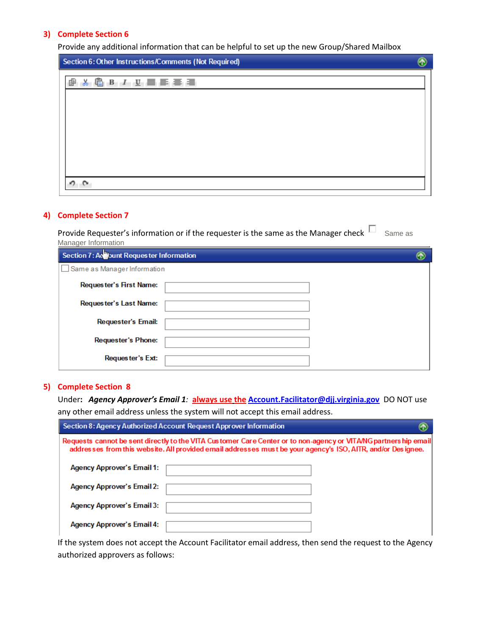Provide any additional information that can be helpful to set up the new Group/Shared Mailbox

| Section 6: Other Instructions/Comments (Not Required) |  |  |
|-------------------------------------------------------|--|--|
| <b>&amp; 心 B J U 画 画 画 画 画</b><br>œ.                  |  |  |
|                                                       |  |  |
|                                                       |  |  |
|                                                       |  |  |
|                                                       |  |  |
|                                                       |  |  |

# **4) Complete Section 7**

| Provide Requester's information or if the requester is the same as the Manager check <sup>L</sup> | Same as |
|---------------------------------------------------------------------------------------------------|---------|
| Manager Information                                                                               |         |

| Section 7: Ac Dunt Requester Information |  |  |  |  |  |
|------------------------------------------|--|--|--|--|--|
| Same as Manager Information              |  |  |  |  |  |
| Requester's First Name:                  |  |  |  |  |  |
| Requester's Last Name:                   |  |  |  |  |  |
| <b>Requester's Email:</b>                |  |  |  |  |  |
| <b>Requester's Phone:</b>                |  |  |  |  |  |
| Requester's Ext:                         |  |  |  |  |  |

#### **5) Complete Section 8**

Under**:** *Agency Approver's Email 1:* **always use the [Account.Facilitator@djj.virginia.gov](mailto:Account.Facilitator@djj.virginia.gov)** DO NOT use any other email address unless the system will not accept this email address.

| Section 8: Agency Authorized Account Request Approver Information                                                                                                                                                              |  |
|--------------------------------------------------------------------------------------------------------------------------------------------------------------------------------------------------------------------------------|--|
| Requests cannot be sent directly to the VITA Customer Care Center or to non-agency or VITANG partners hip email<br>addresses from this website. All provided email addresses must be your agency's ISO, AITR, and/or Designee. |  |
| <b>Agency Approver's Email 1:</b>                                                                                                                                                                                              |  |
| <b>Agency Approver's Email 2:</b>                                                                                                                                                                                              |  |
| <b>Agency Approver's Email 3:</b>                                                                                                                                                                                              |  |
| <b>Agency Approver's Email 4:</b>                                                                                                                                                                                              |  |

If the system does not accept the Account Facilitator email address, then send the request to the Agency authorized approvers as follows: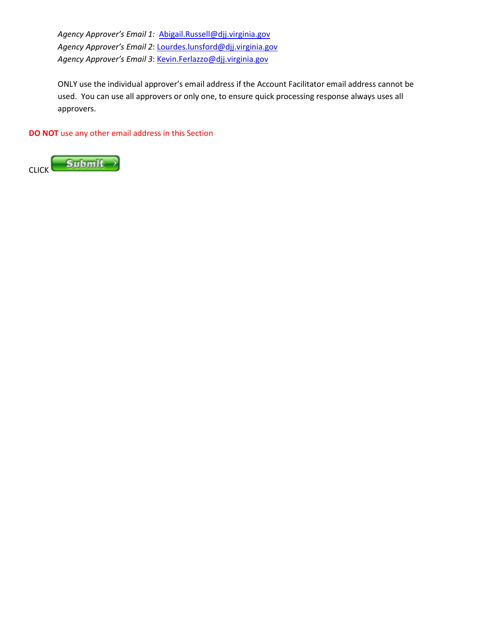*Agency Approver's Email 1:* [Abigail.Russell@djj.virginia.gov](mailto:Abigail.Russell@djj.virginia.gov) *Agency Approver's Email 2*[: Lourdes.lunsford@djj.virginia.gov](mailto:Lourdes.lunsford@djj.virginia.gov) *Agency Approver's Email 3*[: Kevin.Ferlazzo@djj.virginia.gov](mailto:Kevin.Ferlazzo@djj.virginia.gov)

ONLY use the individual approver's email address if the Account Facilitator email address cannot be used. You can use all approvers or only one, to ensure quick processing response always uses all approvers.

**DO NOT** use any other email address in this Section